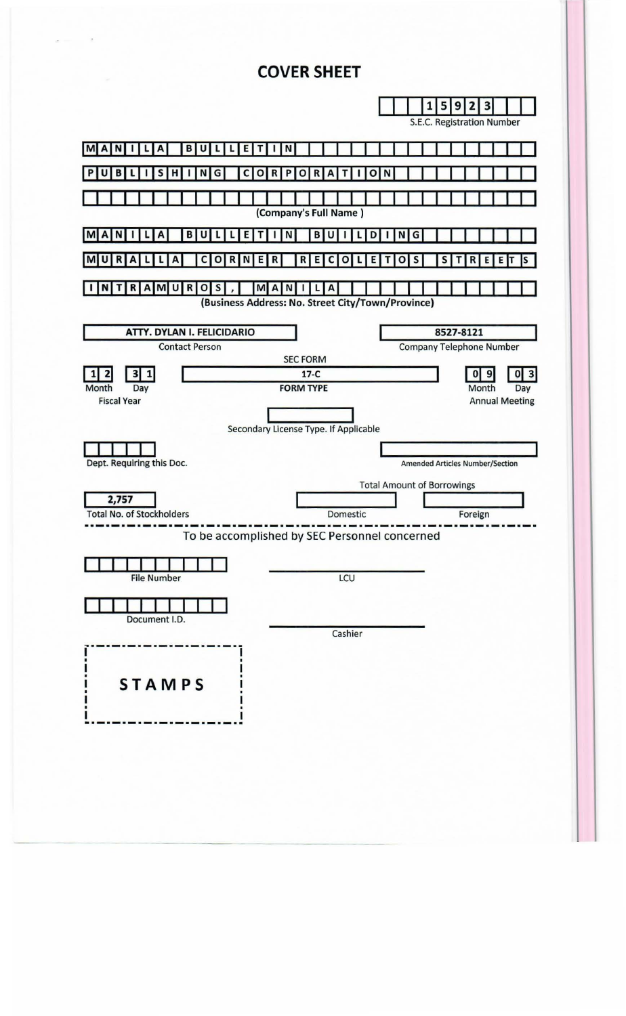# **COVER SHEET**

| 3<br>5<br>9<br>2<br>1<br>S.E.C. Registration Number                                                                                                                          |  |  |  |  |
|------------------------------------------------------------------------------------------------------------------------------------------------------------------------------|--|--|--|--|
| В<br>Е<br>N<br>M<br>N<br>U<br>$\mathbf{A}$<br>А                                                                                                                              |  |  |  |  |
| S<br>н<br>G<br>C<br>$\mathbf{o}$<br>P<br>в<br>$\mathbf R$<br>o<br>R<br>A<br>o<br>N<br>N                                                                                      |  |  |  |  |
| (Company's Full Name)                                                                                                                                                        |  |  |  |  |
| B<br>N<br>G<br>D<br>в<br>E                                                                                                                                                   |  |  |  |  |
| R<br>R<br>S<br>S<br>Е<br>R<br>Е<br>Е<br>R<br>с<br>O<br>R<br>c<br>O<br>O<br>Ε<br>E<br>N                                                                                       |  |  |  |  |
| $R$ $A$ $M$ $U$ $R$<br>S<br><b>MAN</b><br>A<br>O<br>N<br>т<br>Ш<br>L<br>(Business Address: No. Street City/Town/Province)                                                    |  |  |  |  |
| ATTY. DYLAN I. FELICIDARIO<br>8527-8121<br><b>Contact Person</b><br><b>Company Telephone Number</b><br><b>SEC FORM</b>                                                       |  |  |  |  |
| $\mathbf{3}$<br>$17-C$<br>$\overline{\mathbf{3}}$<br>1<br> 0 <br>$\bf{0}$<br><b>FORM TYPE</b><br>Day<br>Month<br>Month<br>Day<br><b>Fiscal Year</b><br><b>Annual Meeting</b> |  |  |  |  |
| Secondary License Type. If Applicable<br>Dept. Requiring this Doc.<br><b>Amended Articles Number/Section</b>                                                                 |  |  |  |  |
| <b>Total Amount of Borrowings</b><br>2,757<br><b>Total No. of Stockholders</b><br>Domestic<br>Foreign<br>To be accomplished by SEC Personnel concerned                       |  |  |  |  |
|                                                                                                                                                                              |  |  |  |  |
| LCU<br><b>File Number</b>                                                                                                                                                    |  |  |  |  |
| Document I.D.                                                                                                                                                                |  |  |  |  |
| Cashier<br><b>STAMPS</b>                                                                                                                                                     |  |  |  |  |
|                                                                                                                                                                              |  |  |  |  |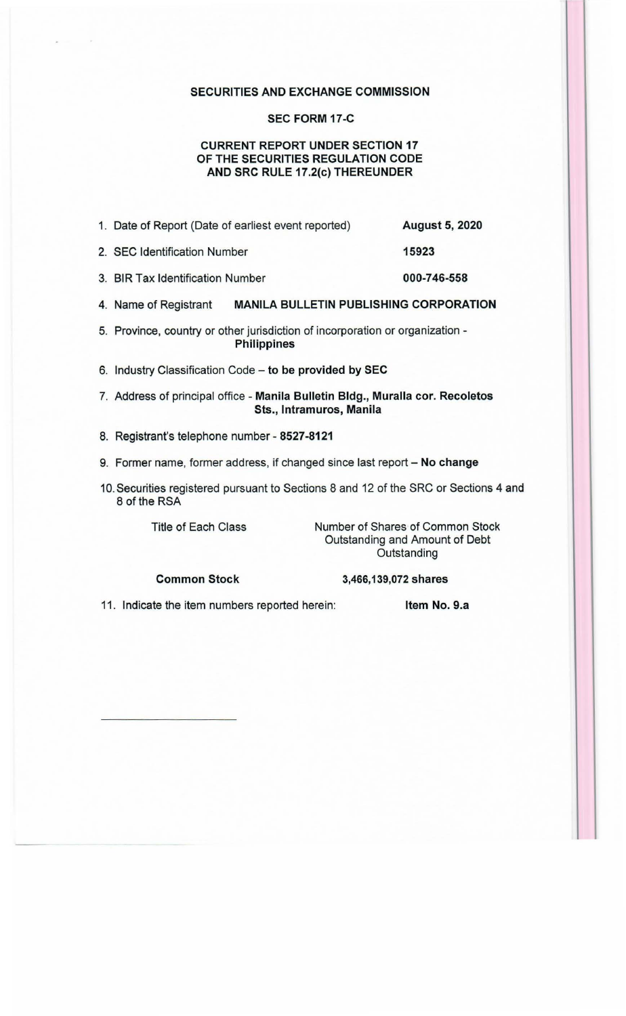### SECURITIES AND EXCHANGE COMMISSION

### SEC FORM 17-C

# CURRENT REPORT UNDER SECTION 17 OF THE SECURITIES REGULATION CODE AND SRC RULE 17.2(c) THEREUNDER

|  |  | 1. Date of Report (Date of earliest event reported) | <b>August 5, 2020</b> |
|--|--|-----------------------------------------------------|-----------------------|
|--|--|-----------------------------------------------------|-----------------------|

- 2. SEC Identification Number 15923
- 3. BIR Tax Identification Number 000-746-558
- 4. Name of Registrant MANILA BULLETIN PUBLISHING CORPORATION
- 5. Province, country or other jurisdiction of incorporation or organization Philippines
- 6. Industry Classification Code to be provided by SEC
- 7. Address of principal office Manila Bulletin Bldg., Muralla cor. Recoletos Sts., lntramuros, Manila
- 8. Registrant's telephone number 8527-8121
- 9. Former name, former address, if changed since last report No change
- 10. Securities registered pursuant to Sections 8 and 12 of the SRC or Sections 4 and 8 of the RSA

Title of Each Class

Number of Shares of Common Stock Outstanding and Amount of Debt **Outstanding** 

Common Stock

3,466, 139,072 shares

11. Indicate the item numbers reported herein: Item No. 9.a